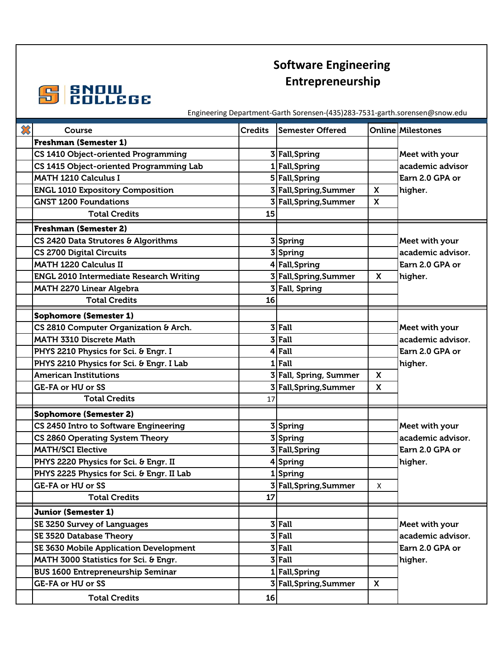



Engineering Department-Garth Sorensen-(435)283-7531-garth.sorensen@snow.edu

| ╳ | Course                                         | <b>Credits</b> | <b>Semester Offered</b> |              | <b>Online Milestones</b>                        |
|---|------------------------------------------------|----------------|-------------------------|--------------|-------------------------------------------------|
|   | <b>Freshman (Semester 1)</b>                   |                |                         |              |                                                 |
|   | CS 1410 Object-oriented Programming            |                | 3 Fall, Spring          |              | Meet with your                                  |
|   | CS 1415 Object-oriented Programming Lab        |                | 1 Fall, Spring          |              | academic advisor                                |
|   | <b>MATH 1210 Calculus I</b>                    |                | 5 Fall, Spring          |              | Earn 2.0 GPA or                                 |
|   | <b>ENGL 1010 Expository Composition</b>        |                | 3 Fall, Spring, Summer  | $\mathsf{x}$ | higher.                                         |
|   | <b>GNST 1200 Foundations</b>                   |                | 3 Fall, Spring, Summer  | X            |                                                 |
|   | <b>Total Credits</b>                           | 15             |                         |              |                                                 |
|   | <b>Freshman (Semester 2)</b>                   |                |                         |              |                                                 |
|   | CS 2420 Data Strutores & Algorithms            |                | 3 Spring                |              | Meet with your                                  |
|   | <b>CS 2700 Digital Circuits</b>                |                | 3 Spring                |              | academic advisor.<br>Earn 2.0 GPA or<br>higher. |
|   | <b>MATH 1220 Calculus II</b>                   |                | 4 Fall, Spring          |              |                                                 |
|   | <b>ENGL 2010 Intermediate Research Writing</b> |                | 3 Fall, Spring, Summer  | X            |                                                 |
|   | <b>MATH 2270 Linear Algebra</b>                |                | 3 Fall, Spring          |              |                                                 |
|   | <b>Total Credits</b>                           | 16             |                         |              |                                                 |
|   | <b>Sophomore (Semester 1)</b>                  |                |                         |              |                                                 |
|   | CS 2810 Computer Organization & Arch.          |                | $3$ Fall                |              | Meet with your                                  |
|   | MATH 3310 Discrete Math                        |                | $3$ Fall                |              | academic advisor.                               |
|   | PHYS 2210 Physics for Sci. & Engr. I           |                | $4$ Fall                |              | Earn 2.0 GPA or                                 |
|   | PHYS 2210 Physics for Sci. & Engr. I Lab       |                | $1$ Fall                |              | higher.                                         |
|   | <b>American Institutions</b>                   |                | 3 Fall, Spring, Summer  | $\mathsf{x}$ |                                                 |
|   | <b>GE-FA or HU or SS</b>                       |                | 3 Fall, Spring, Summer  | X            |                                                 |
|   | <b>Total Credits</b>                           | 17             |                         |              |                                                 |
|   | <b>Sophomore (Semester 2)</b>                  |                |                         |              |                                                 |
|   | CS 2450 Intro to Software Engineering          |                | 3Spring                 |              | Meet with your                                  |
|   | CS 2860 Operating System Theory                |                | 3 Spring                |              | academic advisor.                               |
|   | <b>MATH/SCI Elective</b>                       |                | 3 Fall, Spring          |              | Earn 2.0 GPA or                                 |
|   | PHYS 2220 Physics for Sci. & Engr. II          |                | 4 Spring                |              | higher.                                         |
|   | PHYS 2225 Physics for Sci. & Engr. II Lab      |                | 1Spring                 |              |                                                 |
|   | <b>GE-FA or HU or SS</b>                       |                | 3 Fall, Spring, Summer  | X            |                                                 |
|   | <b>Total Credits</b>                           | 17             |                         |              |                                                 |
|   | <b>Junior (Semester 1)</b>                     |                |                         |              |                                                 |
|   | SE 3250 Survey of Languages                    |                | $3$ Fall                |              | Meet with your                                  |
|   | SE 3520 Database Theory                        |                | $3$ Fall                |              | academic advisor.                               |
|   | SE 3630 Mobile Application Development         |                | $3$ Fall                |              | Earn 2.0 GPA or                                 |
|   | MATH 3000 Statistics for Sci. & Engr.          |                | $3$ Fall                |              | higher.                                         |
|   | <b>BUS 1600 Entrepreneurship Seminar</b>       |                | 1 Fall, Spring          |              |                                                 |
|   | <b>GE-FA or HU or SS</b>                       |                | 3 Fall, Spring, Summer  | $\mathsf{X}$ |                                                 |
|   | <b>Total Credits</b>                           | 16             |                         |              |                                                 |